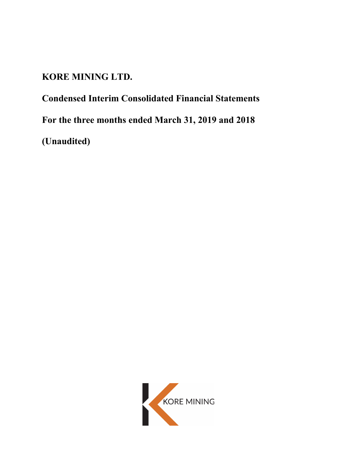# **KORE MINING LTD.**

**Condensed Interim Consolidated Financial Statements For the three months ended March 31, 2019 and 2018 (Unaudited)**

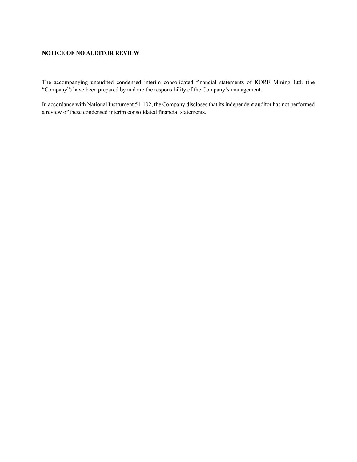## **NOTICE OF NO AUDITOR REVIEW**

The accompanying unaudited condensed interim consolidated financial statements of KORE Mining Ltd. (the "Company") have been prepared by and are the responsibility of the Company's management.

In accordance with National Instrument 51-102, the Company discloses that its independent auditor has not performed a review of these condensed interim consolidated financial statements.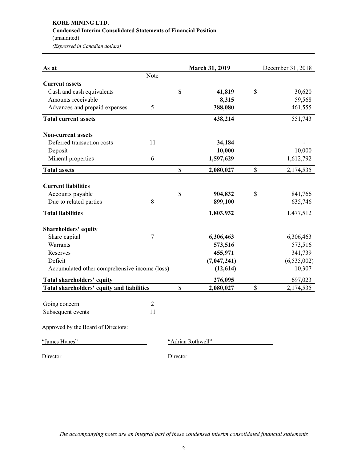# **KORE MINING LTD. Condensed Interim Consolidated Statements of Financial Position** (unaudited) *(Expressed in Canadian dollars)*

Director Director

| As at                                         |                |                           | March 31, 2019    | December 31, 2018 |
|-----------------------------------------------|----------------|---------------------------|-------------------|-------------------|
|                                               | Note           |                           |                   |                   |
| <b>Current assets</b>                         |                |                           |                   |                   |
| Cash and cash equivalents                     |                | \$                        | 41,819            | \$<br>30,620      |
| Amounts receivable                            |                |                           | 8,315             | 59,568            |
| Advances and prepaid expenses                 | 5              |                           | 388,080           | 461,555           |
| <b>Total current assets</b>                   |                |                           | 438,214           | 551,743           |
| <b>Non-current assets</b>                     |                |                           |                   |                   |
| Deferred transaction costs                    | 11             |                           | 34,184            |                   |
| Deposit                                       |                |                           | 10,000            | 10,000            |
| Mineral properties                            | 6              |                           | 1,597,629         | 1,612,792         |
| <b>Total assets</b>                           |                | $\mathbf S$               | 2,080,027         | \$<br>2,174,535   |
|                                               |                |                           |                   |                   |
| <b>Current liabilities</b>                    |                |                           |                   |                   |
| Accounts payable                              |                | \$                        | 904,832           | \$<br>841,766     |
| Due to related parties                        | 8              |                           | 899,100           | 635,746           |
| <b>Total liabilities</b>                      |                |                           | 1,803,932         | 1,477,512         |
| <b>Shareholders' equity</b>                   |                |                           |                   |                   |
| Share capital                                 | $\tau$         |                           | 6,306,463         | 6,306,463         |
| Warrants                                      |                |                           | 573,516           | 573,516           |
| Reserves                                      |                |                           | 455,971           | 341,739           |
| Deficit                                       |                |                           | (7,047,241)       | (6, 535, 002)     |
| Accumulated other comprehensive income (loss) |                |                           | (12, 614)         | 10,307            |
| Total shareholders' equity                    |                |                           | 276,095           | 697,023           |
| Total shareholders' equity and liabilities    |                | $\boldsymbol{\mathsf{S}}$ | 2,080,027         | \$<br>2,174,535   |
|                                               |                |                           |                   |                   |
| Going concern                                 | $\overline{2}$ |                           |                   |                   |
| Subsequent events                             | 11             |                           |                   |                   |
| Approved by the Board of Directors:           |                |                           |                   |                   |
| "James Hynes"                                 |                |                           | "Adrian Rothwell" |                   |
|                                               |                |                           |                   |                   |

*The accompanying notes are an integral part of these condensed interim consolidated financial statements*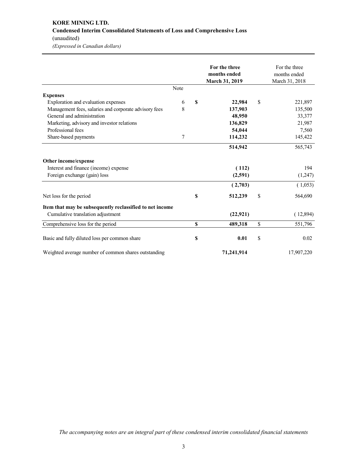# **KORE MINING LTD. Condensed Interim Consolidated Statements of Loss and Comprehensive Loss** (unaudited) *(Expressed in Canadian dollars)*

|                                                          |      | For the three<br>months ended<br>March 31, 2019 | For the three<br>months ended<br>March 31, 2018 |
|----------------------------------------------------------|------|-------------------------------------------------|-------------------------------------------------|
|                                                          | Note |                                                 |                                                 |
| <b>Expenses</b>                                          |      |                                                 |                                                 |
| Exploration and evaluation expenses                      | 6    | \$<br>22,984                                    | \$<br>221,897                                   |
| Management fees, salaries and corporate advisory fees    | 8    | 137,903                                         | 135,500                                         |
| General and administration                               |      | 48,950                                          | 33,377                                          |
| Marketing, advisory and investor relations               |      | 136,829                                         | 21,987                                          |
| Professional fees                                        |      | 54,044                                          | 7,560                                           |
| Share-based payments                                     | 7    | 114,232                                         | 145,422                                         |
|                                                          |      | 514,942                                         | 565,743                                         |
| Other income/expense                                     |      |                                                 |                                                 |
| Interest and finance (income) expense                    |      | (112)                                           | 194                                             |
| Foreign exchange (gain) loss                             |      | (2,591)                                         | (1,247)                                         |
|                                                          |      | (2,703)                                         | (1,053)                                         |
| Net loss for the period                                  |      | \$<br>512,239                                   | \$<br>564,690                                   |
| Item that may be subsequently reclassified to net income |      |                                                 |                                                 |
| Cumulative translation adjustment                        |      | (22, 921)                                       | (12,894)                                        |
| Comprehensive loss for the period                        |      | \$<br>489,318                                   | \$<br>551,796                                   |
| Basic and fully diluted loss per common share            |      | \$<br>0.01                                      | \$<br>0.02                                      |
| Weighted average number of common shares outstanding     |      | 71,241,914                                      | 17,907,220                                      |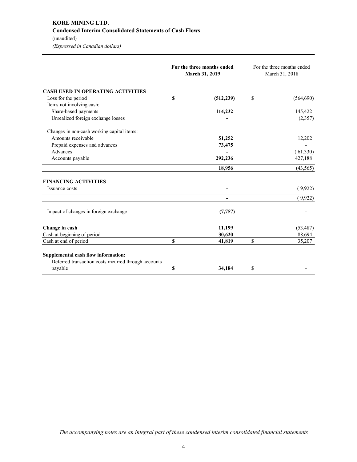# **KORE MINING LTD. Condensed Interim Consolidated Statements of Cash Flows** (unaudited)

*(Expressed in Canadian dollars)*

|                                                                                             |    | For the three months ended<br>March 31, 2019 | For the three months ended<br>March 31, 2018 |           |  |
|---------------------------------------------------------------------------------------------|----|----------------------------------------------|----------------------------------------------|-----------|--|
|                                                                                             |    |                                              |                                              |           |  |
| <b>CASH USED IN OPERATING ACTIVITIES</b>                                                    |    |                                              |                                              |           |  |
| Loss for the period                                                                         | \$ | (512, 239)                                   | \$                                           | (564,690) |  |
| Items not involving cash:                                                                   |    |                                              |                                              |           |  |
| Share-based payments                                                                        |    | 114,232                                      |                                              | 145,422   |  |
| Unrealized foreign exchange losses                                                          |    |                                              |                                              | (2,357)   |  |
| Changes in non-cash working capital items:                                                  |    |                                              |                                              |           |  |
| Amounts receivable                                                                          |    | 51,252                                       |                                              | 12,202    |  |
| Prepaid expenses and advances                                                               |    | 73,475                                       |                                              |           |  |
| Advances                                                                                    |    |                                              |                                              | (61,330)  |  |
| Accounts payable                                                                            |    | 292,236                                      |                                              | 427,188   |  |
|                                                                                             |    | 18,956                                       |                                              | (43, 565) |  |
| <b>FINANCING ACTIVITIES</b>                                                                 |    |                                              |                                              |           |  |
| Issuance costs                                                                              |    |                                              |                                              | (9,922)   |  |
|                                                                                             |    |                                              |                                              | (9,922)   |  |
| Impact of changes in foreign exchange                                                       |    | (7, 757)                                     |                                              |           |  |
| Change in cash                                                                              |    | 11,199                                       |                                              | (53, 487) |  |
| Cash at beginning of period                                                                 |    | 30,620                                       |                                              | 88,694    |  |
| Cash at end of period                                                                       | S  | 41,819                                       | \$                                           | 35,207    |  |
| Supplemental cash flow information:<br>Deferred transaction costs incurred through accounts |    |                                              |                                              |           |  |
| payable                                                                                     | \$ | 34,184                                       | \$                                           |           |  |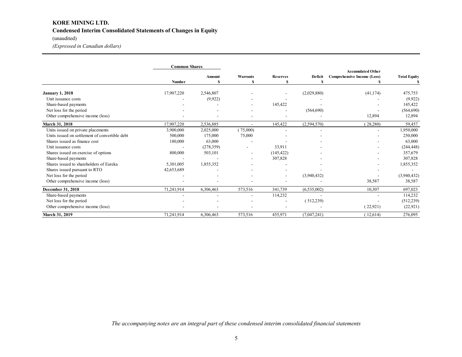# **KORE MINING LTD. Condensed Interim Consolidated Statements of Changes in Equity**

## (unaudited)

*(Expressed in Canadian dollars)*

|                                                | <b>Common Shares</b> |                          |                          |                 |               |                             |                     |
|------------------------------------------------|----------------------|--------------------------|--------------------------|-----------------|---------------|-----------------------------|---------------------|
|                                                |                      |                          |                          |                 |               | <b>Accumulated Other</b>    |                     |
|                                                |                      | Amount                   | <b>Warrants</b>          | <b>Reserves</b> | Deficit       | Comprehensive Income (Loss) | <b>Total Equity</b> |
|                                                | <b>Number</b>        |                          |                          |                 | S.            |                             |                     |
| <b>January 1, 2018</b>                         | 17,907,220           | 2,546,807                |                          |                 | (2,029,880)   | (41, 174)                   | 475,753             |
| Unit issuance costs                            |                      | (9,922)                  |                          |                 |               |                             | (9,922)             |
| Share-based payments                           |                      |                          | $\overline{\phantom{a}}$ | 145,422         |               |                             | 145,422             |
| Net loss for the period                        |                      |                          | $\overline{\phantom{a}}$ |                 | (564, 690)    |                             | (564, 690)          |
| Other comprehensive income (loss)              |                      |                          | $\overline{\phantom{a}}$ |                 |               | 12,894                      | 12,894              |
| March 31, 2018                                 | 17,907,220           | 2,536,885                | $\blacksquare$           | 145,422         | (2,594,570)   | (28, 280)                   | 59,457              |
| Units issued on private placements             | 3,900,000            | 2,025,000                | (75,000)                 |                 |               |                             | 1,950,000           |
| Units issued on settlement of convertible debt | 500,000              | 175,000                  | 75,000                   |                 |               |                             | 250,000             |
| Shares issued as finance cost                  | 180,000              | 63,000                   |                          |                 |               |                             | 63,000              |
| Unit issuance costs                            |                      | (278, 359)               | $\overline{\phantom{a}}$ | 33,911          |               |                             | (244, 448)          |
| Shares issued on exercise of options           | 800,000              | 503,101                  |                          | (145, 422)      |               |                             | 357,679             |
| Share-based payments                           |                      |                          | $\overline{\phantom{a}}$ | 307,828         |               |                             | 307,828             |
| Shares issued to shareholders of Eureka        | 5,301,005            | 1,855,352                |                          |                 |               |                             | 1,855,352           |
| Shares issued pursuant to RTO                  | 42,653,689           |                          |                          |                 |               |                             |                     |
| Net loss for the period                        |                      | $\overline{\phantom{a}}$ |                          | ۰               | (3,940,432)   |                             | (3,940,432)         |
| Other comprehensive income (loss)              |                      |                          |                          |                 |               | 38,587                      | 38,587              |
| December 31, 2018                              | 71,241,914           | 6,306,463                | 573,516                  | 341,739         | (6, 535, 002) | 10,307                      | 697,023             |
| Share-based payments                           |                      | $\overline{\phantom{a}}$ | $\overline{\phantom{a}}$ | 114,232         |               |                             | 114,232             |
| Net loss for the period                        |                      |                          |                          | $\blacksquare$  | (512, 239)    |                             | (512, 239)          |
| Other comprehensive income (loss)              |                      |                          |                          |                 |               | (22, 921)                   | (22, 921)           |
| March 31, 2019                                 | 71,241,914           | 6,306,463                | 573,516                  | 455,971         | (7,047,241)   | (12,614)                    | 276,095             |

*The accompanying notes are an integral part of these condensed interim consolidated financial statements*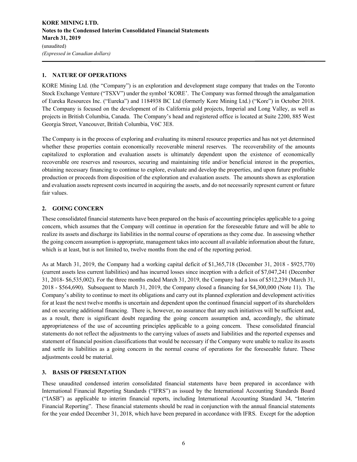## **1. NATURE OF OPERATIONS**

KORE Mining Ltd. (the "Company") is an exploration and development stage company that trades on the Toronto Stock Exchange Venture ("TSXV") under the symbol 'KORE'. The Company was formed through the amalgamation of Eureka Resources Inc. ("Eureka") and 1184938 BC Ltd (formerly Kore Mining Ltd.) ("Kore") in October 2018. The Company is focused on the development of its California gold projects, Imperial and Long Valley, as well as projects in British Columbia, Canada. The Company's head and registered office is located at Suite 2200, 885 West Georgia Street, Vancouver, British Columbia, V6C 3E8.

The Company is in the process of exploring and evaluating its mineral resource properties and has not yet determined whether these properties contain economically recoverable mineral reserves. The recoverability of the amounts capitalized to exploration and evaluation assets is ultimately dependent upon the existence of economically recoverable ore reserves and resources, securing and maintaining title and/or beneficial interest in the properties, obtaining necessary financing to continue to explore, evaluate and develop the properties, and upon future profitable production or proceeds from disposition of the exploration and evaluation assets. The amounts shown as exploration and evaluation assets represent costs incurred in acquiring the assets, and do not necessarily represent current or future fair values.

## **2. GOING CONCERN**

These consolidated financial statements have been prepared on the basis of accounting principles applicable to a going concern, which assumes that the Company will continue in operation for the foreseeable future and will be able to realize its assets and discharge its liabilities in the normal course of operations as they come due. In assessing whether the going concern assumption is appropriate, management takes into account all available information about the future, which is at least, but is not limited to, twelve months from the end of the reporting period.

As at March 31, 2019, the Company had a working capital deficit of \$1,365,718 (December 31, 2018 - \$925,770) (current assets less current liabilities) and has incurred losses since inception with a deficit of \$7,047,241 (December 31, 2018- \$6,535,002). For the three months ended March 31, 2019, the Company had a loss of \$512,239 (March 31, 2018 - \$564,690). Subsequent to March 31, 2019, the Company closed a financing for \$4,300,000 (Note 11). The Company's ability to continue to meet its obligations and carry out its planned exploration and development activities for at least the next twelve months is uncertain and dependent upon the continued financial support of its shareholders and on securing additional financing. There is, however, no assurance that any such initiatives will be sufficient and, as a result, there is significant doubt regarding the going concern assumption and, accordingly, the ultimate appropriateness of the use of accounting principles applicable to a going concern. These consolidated financial statements do not reflect the adjustments to the carrying values of assets and liabilities and the reported expenses and statement of financial position classifications that would be necessary if the Company were unable to realize its assets and settle its liabilities as a going concern in the normal course of operations for the foreseeable future. These adjustments could be material.

## **3. BASIS OF PRESENTATION**

These unaudited condensed interim consolidated financial statements have been prepared in accordance with International Financial Reporting Standards ("IFRS") as issued by the International Accounting Standards Board ("IASB") as applicable to interim financial reports, including International Accounting Standard 34, "Interim Financial Reporting". These financial statements should be read in conjunction with the annual financial statements for the year ended December 31, 2018, which have been prepared in accordance with IFRS. Except for the adoption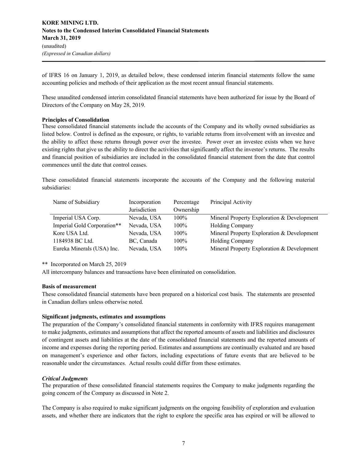of IFRS 16 on January 1, 2019, as detailed below, these condensed interim financial statements follow the same accounting policies and methods of their application as the most recent annual financial statements.

These unaudited condensed interim consolidated financial statements have been authorized for issue by the Board of Directors of the Company on May 28, 2019.

#### **Principles of Consolidation**

These consolidated financial statements include the accounts of the Company and its wholly owned subsidiaries as listed below. Control is defined as the exposure, or rights, to variable returns from involvement with an investee and the ability to affect those returns through power over the investee. Power over an investee exists when we have existing rights that give us the ability to direct the activities that significantly affect the investee's returns. The results and financial position of subsidiaries are included in the consolidated financial statement from the date that control commences until the date that control ceases.

These consolidated financial statements incorporate the accounts of the Company and the following material subsidiaries:

| Name of Subsidiary          | Incorporation | Percentage | Principal Activity                         |
|-----------------------------|---------------|------------|--------------------------------------------|
|                             | Jurisdiction  | Ownership  |                                            |
| Imperial USA Corp.          | Nevada, USA   | $100\%$    | Mineral Property Exploration & Development |
| Imperial Gold Corporation** | Nevada, USA   | $100\%$    | <b>Holding Company</b>                     |
| Kore USA Ltd.               | Nevada, USA   | $100\%$    | Mineral Property Exploration & Development |
| 1184938 BC Ltd.             | BC, Canada    | $100\%$    | <b>Holding Company</b>                     |
| Eureka Minerals (USA) Inc.  | Nevada, USA   | 100%       | Mineral Property Exploration & Development |

\*\* Incorporated on March 25, 2019

All intercompany balances and transactions have been eliminated on consolidation.

#### **Basis of measurement**

These consolidated financial statements have been prepared on a historical cost basis. The statements are presented in Canadian dollars unless otherwise noted.

#### **Significant judgments, estimates and assumptions**

The preparation of the Company's consolidated financial statements in conformity with IFRS requires management to make judgments, estimates and assumptions that affect the reported amounts of assets and liabilities and disclosures of contingent assets and liabilities at the date of the consolidated financial statements and the reported amounts of income and expenses during the reporting period. Estimates and assumptions are continually evaluated and are based on management's experience and other factors, including expectations of future events that are believed to be reasonable under the circumstances. Actual results could differ from these estimates.

#### *Critical Judgments*

The preparation of these consolidated financial statements requires the Company to make judgments regarding the going concern of the Company as discussed in Note 2.

The Company is also required to make significant judgments on the ongoing feasibility of exploration and evaluation assets, and whether there are indicators that the right to explore the specific area has expired or will be allowed to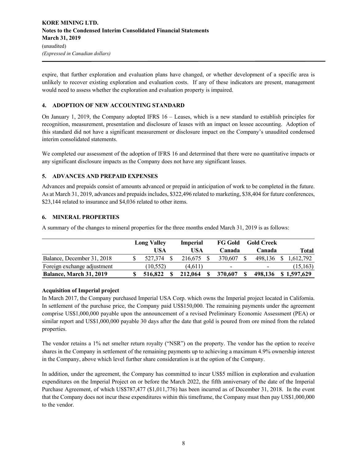expire, that further exploration and evaluation plans have changed, or whether development of a specific area is unlikely to recover existing exploration and evaluation costs. If any of these indicators are present, management would need to assess whether the exploration and evaluation property is impaired.

## **4. ADOPTION OF NEW ACCOUNTING STANDARD**

On January 1, 2019, the Company adopted IFRS 16 – Leases, which is a new standard to establish principles for recognition, measurement, presentation and disclosure of leases with an impact on lessee accounting. Adoption of this standard did not have a significant measurement or disclosure impact on the Company's unaudited condensed interim consolidated statements.

We completed our assessment of the adoption of IFRS 16 and determined that there were no quantitative impacts or any significant disclosure impacts as the Company does not have any significant leases.

## **5. ADVANCES AND PREPAID EXPENSES**

Advances and prepaids consist of amounts advanced or prepaid in anticipation of work to be completed in the future. As at March 31, 2019, advances and prepaids includes, \$322,496 related to marketing, \$38,404 for future conferences, \$23,144 related to insurance and \$4,036 related to other items.

## **6. MINERAL PROPERTIES**

A summary of the changes to mineral properties for the three months ended March 31, 2019 is as follows:

|                             | <b>Long Valley</b> |          | <b>FG Gold</b><br><b>Imperial</b> |         | <b>Gold Creek</b> |                          |                          |             |
|-----------------------------|--------------------|----------|-----------------------------------|---------|-------------------|--------------------------|--------------------------|-------------|
|                             |                    | USA      |                                   | USA     |                   | <b>Canada</b>            | Canada                   | Total       |
| Balance, December 31, 2018  |                    | 527.374  |                                   | 216.675 |                   | 370,607                  | 498.136                  | 1.612.792   |
| Foreign exchange adjustment |                    | (10.552) |                                   | (4.611) |                   | $\overline{\phantom{0}}$ | $\overline{\phantom{0}}$ | (15, 163)   |
| Balance, March 31, 2019     |                    | 516,822  |                                   | 212,064 |                   | 370,607                  | 498,136                  | \$1.597.629 |

## **Acquisition of Imperial project**

In March 2017, the Company purchased Imperial USA Corp. which owns the Imperial project located in California. In settlement of the purchase price, the Company paid US\$150,000. The remaining payments under the agreement comprise US\$1,000,000 payable upon the announcement of a revised Preliminary Economic Assessment (PEA) or similar report and US\$1,000,000 payable 30 days after the date that gold is poured from ore mined from the related properties.

The vendor retains a 1% net smelter return royalty ("NSR") on the property. The vendor has the option to receive shares in the Company in settlement of the remaining payments up to achieving a maximum 4.9% ownership interest in the Company, above which level further share consideration is at the option of the Company.

In addition, under the agreement, the Company has committed to incur US\$5 million in exploration and evaluation expenditures on the Imperial Project on or before the March 2022, the fifth anniversary of the date of the Imperial Purchase Agreement, of which US\$787,477 (\$1,011,776) has been incurred as of December 31, 2018. In the event that the Company does not incur these expenditures within this timeframe, the Company must then pay US\$1,000,000 to the vendor.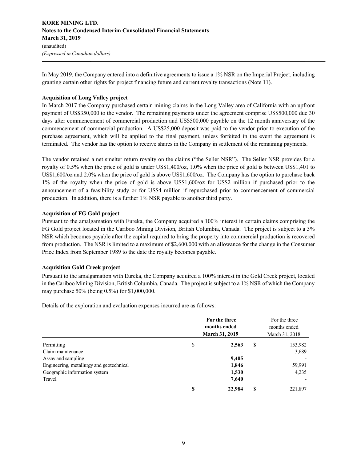## **KORE MINING LTD. Notes to the Condensed Interim Consolidated Financial Statements March 31, 2019** (unaudited) *(Expressed in Canadian dollars)*

In May 2019, the Company entered into a definitive agreements to issue a 1% NSR on the Imperial Project, including granting certain other rights for project financing future and current royalty transactions (Note 11).

#### **Acquisition of Long Valley project**

In March 2017 the Company purchased certain mining claims in the Long Valley area of California with an upfront payment of US\$350,000 to the vendor. The remaining payments under the agreement comprise US\$500,000 due 30 days after commencement of commercial production and US\$500,000 payable on the 12 month anniversary of the commencement of commercial production. A US\$25,000 deposit was paid to the vendor prior to execution of the purchase agreement, which will be applied to the final payment, unless forfeited in the event the agreement is terminated. The vendor has the option to receive shares in the Company in settlement of the remaining payments.

The vendor retained a net smelter return royalty on the claims ("the Seller NSR"). The Seller NSR provides for a royalty of 0.5% when the price of gold is under US\$1,400/oz, 1.0% when the price of gold is between US\$1,401 to US\$1,600/oz and 2.0% when the price of gold is above US\$1,600/oz. The Company has the option to purchase back 1% of the royalty when the price of gold is above US\$1,600/oz for US\$2 million if purchased prior to the announcement of a feasibility study or for US\$4 million if repurchased prior to commencement of commercial production. In addition, there is a further 1% NSR payable to another third party.

#### **Acquisition of FG Gold project**

Pursuant to the amalgamation with Eureka, the Company acquired a 100% interest in certain claims comprising the FG Gold project located in the Cariboo Mining Division, British Columbia, Canada. The project is subject to a 3% NSR which becomes payable after the capital required to bring the property into commercial production is recovered from production. The NSR is limited to a maximum of \$2,600,000 with an allowance for the change in the Consumer Price Index from September 1989 to the date the royalty becomes payable.

## **Acquisition Gold Creek project**

Pursuant to the amalgamation with Eureka, the Company acquired a 100% interest in the Gold Creek project, located in the Cariboo Mining Division, British Columbia, Canada. The project is subject to a 1% NSR of which the Company may purchase 50% (being 0.5%) for \$1,000,000.

 **For the three months ended**  For the three months ended **March 31, 2019** March 31, 2018 **Permitting**  153,982 Claim maintenance **-** 3,689 Assay and sampling **9,405**  $\qquad$  9,405 Engineering, metallurgy and geotechnical **1,846** 59,991 Geographic information system **1,530** 4,235 Travel **7,640** - **\$ 22,984** \$ 221,897

Details of the exploration and evaluation expenses incurred are as follows: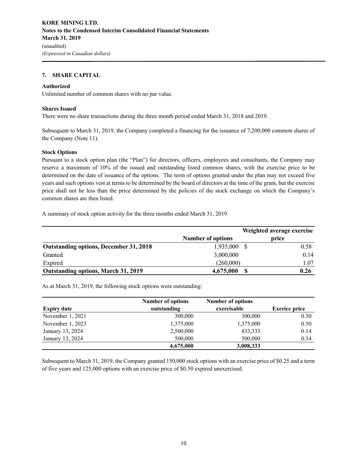#### **7. SHARE CAPITAL**

#### **Authorized**

Unlimited number of common shares with no par value.

#### **Shares Issued**

There were no share transactions during the three month period ended March 31, 2018 and 2019.

Subsequent to March 31, 2019, the Company completed a financing for the issuance of 7,200,000 common shares of the Company (Note 11).

#### **Stock Options**

Pursuant to a stock option plan (the "Plan") for directors, officers, employees and consultants, the Company may reserve a maximum of 10% of the issued and outstanding listed common shares, with the exercise price to be determined on the date of issuance of the options. The term of options granted under the plan may not exceed five years and such options vest at terms to be determined by the board of directors at the time of the grant, but the exercise price shall not be less than the price determined by the policies of the stock exchange on which the Company's common shares are then listed.

A summary of stock option activity for the three months ended March 31, 2019

|                                               |                          | Weighted average exercise |
|-----------------------------------------------|--------------------------|---------------------------|
|                                               | <b>Number of options</b> | price                     |
| <b>Outstanding options, December 31, 2018</b> | 1,935,000                | 0.58                      |
| Granted                                       | 3,000,000                | 0.14                      |
| Expired                                       | (260,000)                | 1.07                      |
| Outstanding options, March 31, 2019           | 4,675,000                | 0.26<br>S                 |

As at March 31, 2019, the following stock options were outstanding:

|                    | <b>Number of options</b> | <b>Number of options</b> |                      |
|--------------------|--------------------------|--------------------------|----------------------|
| <b>Expiry date</b> | outstanding              |                          | <b>Exerice price</b> |
| November 1, 2021   | 300,000                  | 300,000                  | 0.50                 |
| November 1, 2023   | 1,375,000                | 1,375,000                | 0.50                 |
| January 13, 2024   | 2,500,000                | 833,333                  | 0.14                 |
| January 13, 2024   | 500,000                  | 500,000                  | 0.14                 |
|                    | 4,675,000                | 3,008,333                |                      |

Subsequent to March 31, 2019, the Company granted 150,000 stock options with an exercise price of \$0.25 and a term of five years and 125,000 options with an exercise price of \$0.50 expired unexercised.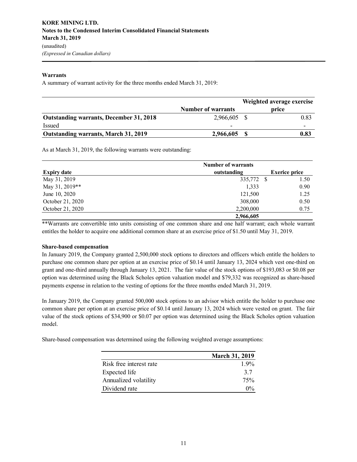#### **Warrants**

A summary of warrant activity for the three months ended March 31, 2019:

|                                                |                           | Weighted average exercise |      |  |
|------------------------------------------------|---------------------------|---------------------------|------|--|
|                                                | <b>Number of warrants</b> | price                     |      |  |
| <b>Outstanding warrants, December 31, 2018</b> | 2,966,605 \$              |                           | 0.83 |  |
| Issued                                         | $\overline{\phantom{0}}$  |                           |      |  |
| Outstanding warrants, March 31, 2019           | 2,966,605                 |                           | 0.83 |  |

As at March 31, 2019, the following warrants were outstanding:

|                    | <b>Number of warrants</b> |                      |
|--------------------|---------------------------|----------------------|
| <b>Expiry date</b> | outstanding               | <b>Exerice price</b> |
| May 31, 2019       | 335,772                   | 1.50<br>- \$         |
| May 31, 2019**     | 1,333                     | 0.90                 |
| June 10, 2020      | 121,500                   | 1.25                 |
| October 21, 2020   | 308,000                   | 0.50                 |
| October 21, 2020   | 2,200,000                 | 0.75                 |
|                    | 2,966,605                 |                      |

\*\*Warrants are convertible into units consisting of one common share and one half warrant; each whole warrant entitles the holder to acquire one additional common share at an exercise price of \$1.50 until May 31, 2019.

#### **Share-based compensation**

In January 2019, the Company granted 2,500,000 stock options to directors and officers which entitle the holders to purchase one common share per option at an exercise price of \$0.14 until January 13, 2024 which vest one-third on grant and one-third annually through January 13, 2021. The fair value of the stock options of \$193,083 or \$0.08 per option was determined using the Black Scholes option valuation model and \$79,332 was recognized as share-based payments expense in relation to the vesting of options for the three months ended March 31, 2019.

In January 2019, the Company granted 500,000 stock options to an advisor which entitle the holder to purchase one common share per option at an exercise price of \$0.14 until January 13, 2024 which were vested on grant. The fair value of the stock options of \$34,900 or \$0.07 per option was determined using the Black Scholes option valuation model.

Share-based compensation was determined using the following weighted average assumptions:

|                         | <b>March 31, 2019</b> |
|-------------------------|-----------------------|
| Risk free interest rate | $1.9\%$               |
| Expected life           | 3.7                   |
| Annualized volatility   | 75%                   |
| Dividend rate           | $\Omega$ %            |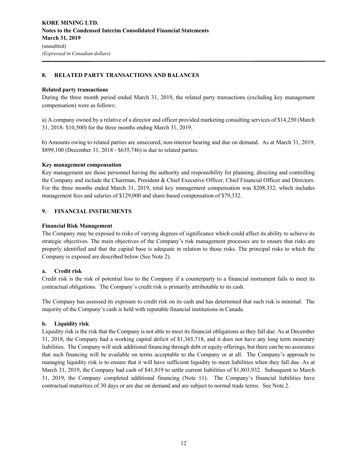## **8. RELATED PARTY TRANSACTIONS AND BALANCES**

#### **Related party transactions**

During the three month period ended March 31, 2019, the related party transactions (excluding key management compensation) were as follows:

a) A company owned by a relative of a director and officer provided marketing consulting services of \$14,250 (March 31, 2018- \$10,500) for the three months ending March 31, 2019.

b) Amounts owing to related parties are unsecured, non-interest bearing and due on demand. As at March 31, 2019, \$899,100 (December 31, 2018 - \$635,746) is due to related parties.

#### **Key management compensation**

Key management are those personnel having the authority and responsibility for planning, directing and controlling the Company and include the Chairman, President & Chief Executive Officer, Chief Financial Officer and Directors. For the three months ended March 31, 2019, total key management compensation was \$208,332, which includes management fees and salaries of \$129,000 and share-based compensation of \$79,332.

#### **9. FINANCIAL INSTRUMENTS**

#### **Financial Risk Management**

The Company may be exposed to risks of varying degrees of significance which could affect its ability to achieve its strategic objectives. The main objectives of the Company's risk management processes are to ensure that risks are properly identified and that the capital base is adequate in relation to those risks. The principal risks to which the Company is exposed are described below (See Note 2).

#### **a. Credit risk**

Credit risk is the risk of potential loss to the Company if a counterparty to a financial instrument fails to meet its contractual obligations. The Company's credit risk is primarily attributable to its cash.

The Company has assessed its exposure to credit risk on its cash and has determined that such risk is minimal. The majority of the Company's cash is held with reputable financial institutions in Canada.

#### **b. Liquidity risk**

Liquidity risk is the risk that the Company is not able to meet its financial obligations as they fall due. As at December 31, 2018, the Company had a working capital deficit of \$1,365,718, and it does not have any long term monetary liabilities. The Company will seek additional financing through debt or equity offerings, but there can be no assurance that such financing will be available on terms acceptable to the Company or at all. The Company's approach to managing liquidity risk is to ensure that it will have sufficient liquidity to meet liabilities when they fall due. As at March 31, 2019, the Company had cash of \$41,819 to settle current liabilities of \$1,803,932. Subsequent to March 31, 2019, the Company completed additional financing (Note 11). The Company's financial liabilities have contractual maturities of 30 days or are due on demand and are subject to normal trade terms. See Note 2.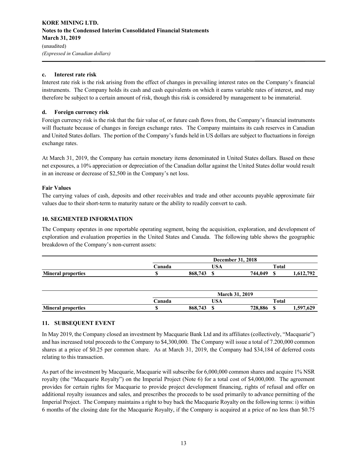## **KORE MINING LTD. Notes to the Condensed Interim Consolidated Financial Statements March 31, 2019** (unaudited) *(Expressed in Canadian dollars)*

## **c. Interest rate risk**

Interest rate risk is the risk arising from the effect of changes in prevailing interest rates on the Company's financial instruments. The Company holds its cash and cash equivalents on which it earns variable rates of interest, and may therefore be subject to a certain amount of risk, though this risk is considered by management to be immaterial.

## **d. Foreign currency risk**

Foreign currency risk is the risk that the fair value of, or future cash flows from, the Company's financial instruments will fluctuate because of changes in foreign exchange rates. The Company maintains its cash reserves in Canadian and United States dollars. The portion of the Company's funds held in US dollars are subject to fluctuations in foreign exchange rates.

At March 31, 2019, the Company has certain monetary items denominated in United States dollars. Based on these net exposures, a 10% appreciation or depreciation of the Canadian dollar against the United States dollar would result in an increase or decrease of \$2,500 in the Company's net loss.

## **Fair Values**

The carrying values of cash, deposits and other receivables and trade and other accounts payable approximate fair values due to their short-term to maturity nature or the ability to readily convert to cash.

## **10. SEGMENTED INFORMATION**

The Company operates in one reportable operating segment, being the acquisition, exploration, and development of exploration and evaluation properties in the United States and Canada. The following table shows the geographic breakdown of the Company's non-current assets:

|                           |        | <b>December 31, 2018</b> |            |         |       |           |  |
|---------------------------|--------|--------------------------|------------|---------|-------|-----------|--|
|                           | `anada |                          | <b>USA</b> |         | Total |           |  |
| <b>Mineral properties</b> |        | 868,743                  |            | 744,049 |       | 1,612,792 |  |

|                           | <b>March 31, 2019</b> |         |            |         |       |           |
|---------------------------|-----------------------|---------|------------|---------|-------|-----------|
|                           | `anada                |         | TTC<br>JSA |         | Total |           |
| <b>Mineral properties</b> |                       | 868,743 | m<br>۱Ŀ    | 728,886 |       | 1,597,629 |

# **11. SUBSEQUENT EVENT**

In May 2019, the Company closed an investment by Macquarie Bank Ltd and its affiliates (collectively, "Macquarie") and has increased total proceeds to the Company to \$4,300,000. The Company will issue a total of 7.200,000 common shares at a price of \$0.25 per common share. As at March 31, 2019, the Company had \$34,184 of deferred costs relating to this transaction.

As part of the investment by Macquarie, Macquarie will subscribe for 6,000,000 common shares and acquire 1% NSR royalty (the "Macquarie Royalty") on the Imperial Project (Note 6) for a total cost of \$4,000,000. The agreement provides for certain rights for Macquarie to provide project development financing, rights of refusal and offer on additional royalty issuances and sales, and prescribes the proceeds to be used primarily to advance permitting of the Imperial Project. The Company maintains a right to buy back the Macquarie Royalty on the following terms: i) within 6 months of the closing date for the Macquarie Royalty, if the Company is acquired at a price of no less than \$0.75